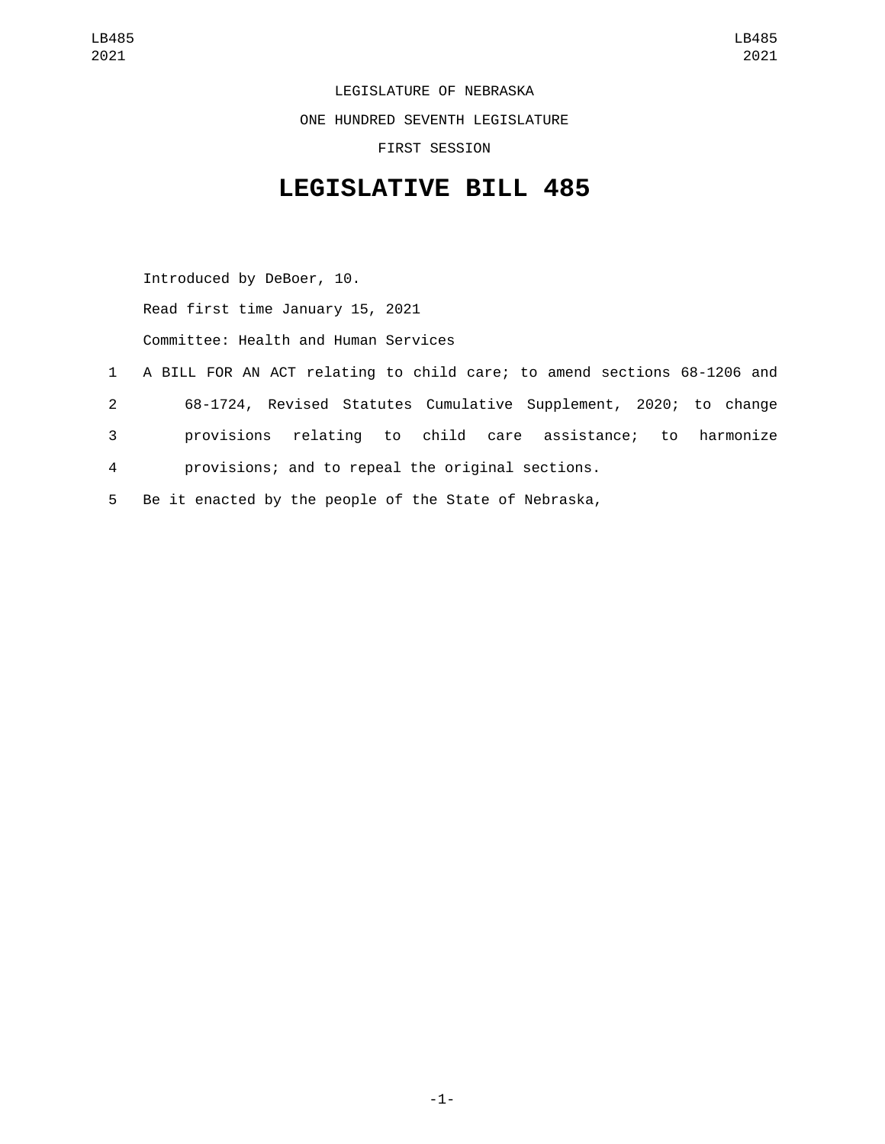LEGISLATURE OF NEBRASKA ONE HUNDRED SEVENTH LEGISLATURE FIRST SESSION

## **LEGISLATIVE BILL 485**

Introduced by DeBoer, 10. Read first time January 15, 2021 Committee: Health and Human Services

- 1 A BILL FOR AN ACT relating to child care; to amend sections 68-1206 and 2 68-1724, Revised Statutes Cumulative Supplement, 2020; to change 3 provisions relating to child care assistance; to harmonize 4 provisions; and to repeal the original sections.
- 5 Be it enacted by the people of the State of Nebraska,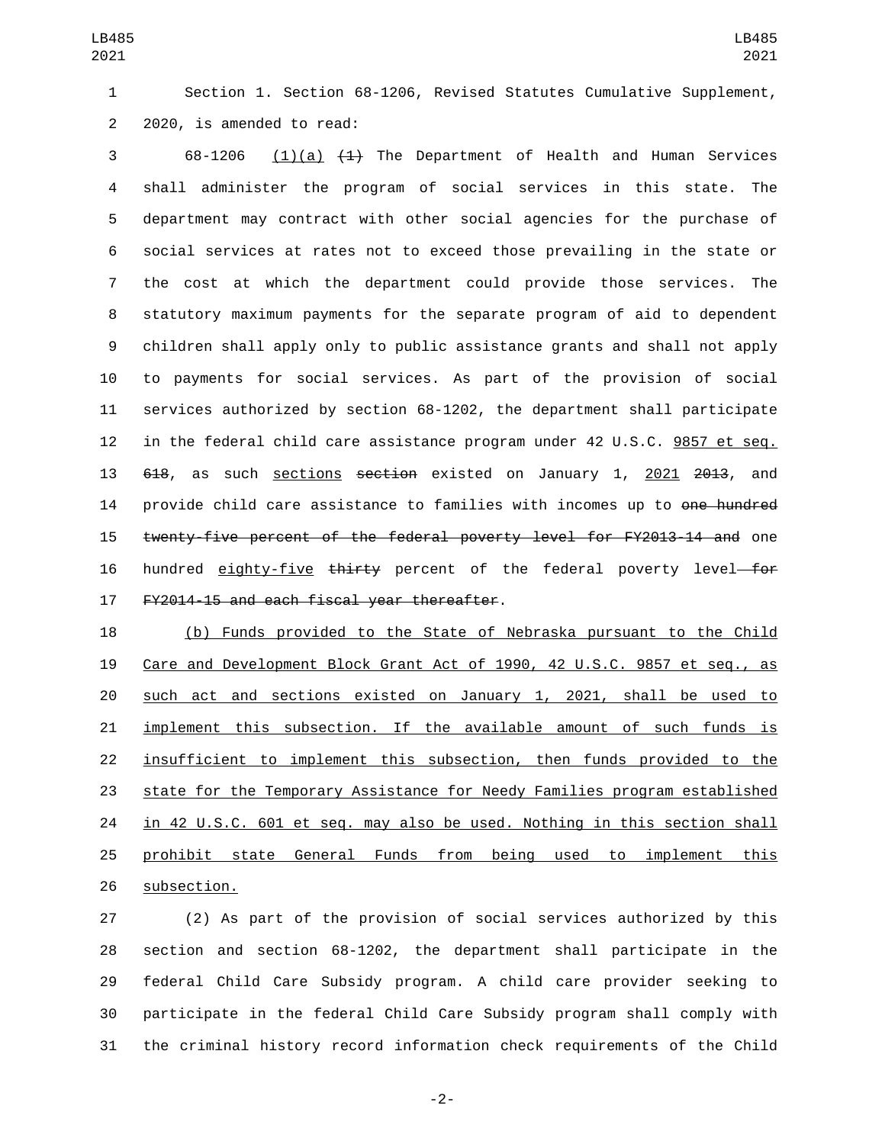Section 1. Section 68-1206, Revised Statutes Cumulative Supplement, 2 2020, is amended to read:

 68-1206 (1)(a)  $\left(\frac{1}{4}\right)$  The Department of Health and Human Services shall administer the program of social services in this state. The department may contract with other social agencies for the purchase of social services at rates not to exceed those prevailing in the state or the cost at which the department could provide those services. The statutory maximum payments for the separate program of aid to dependent children shall apply only to public assistance grants and shall not apply to payments for social services. As part of the provision of social services authorized by section 68-1202, the department shall participate in the federal child care assistance program under 42 U.S.C. 9857 et seq. 13 618, as such sections section existed on January 1, 2021 2013, and 14 provide child care assistance to families with incomes up to <del>one hundred</del> twenty-five percent of the federal poverty level for FY2013-14 and one 16 hundred eighty-five thirty percent of the federal poverty level—for 17 FY2014-15 and each fiscal year thereafter.

 (b) Funds provided to the State of Nebraska pursuant to the Child Care and Development Block Grant Act of 1990, 42 U.S.C. 9857 et seq., as such act and sections existed on January 1, 2021, shall be used to implement this subsection. If the available amount of such funds is insufficient to implement this subsection, then funds provided to the state for the Temporary Assistance for Needy Families program established 24 in 42 U.S.C. 601 et seq. may also be used. Nothing in this section shall prohibit state General Funds from being used to implement this 26 subsection.

 (2) As part of the provision of social services authorized by this section and section 68-1202, the department shall participate in the federal Child Care Subsidy program. A child care provider seeking to participate in the federal Child Care Subsidy program shall comply with the criminal history record information check requirements of the Child

-2-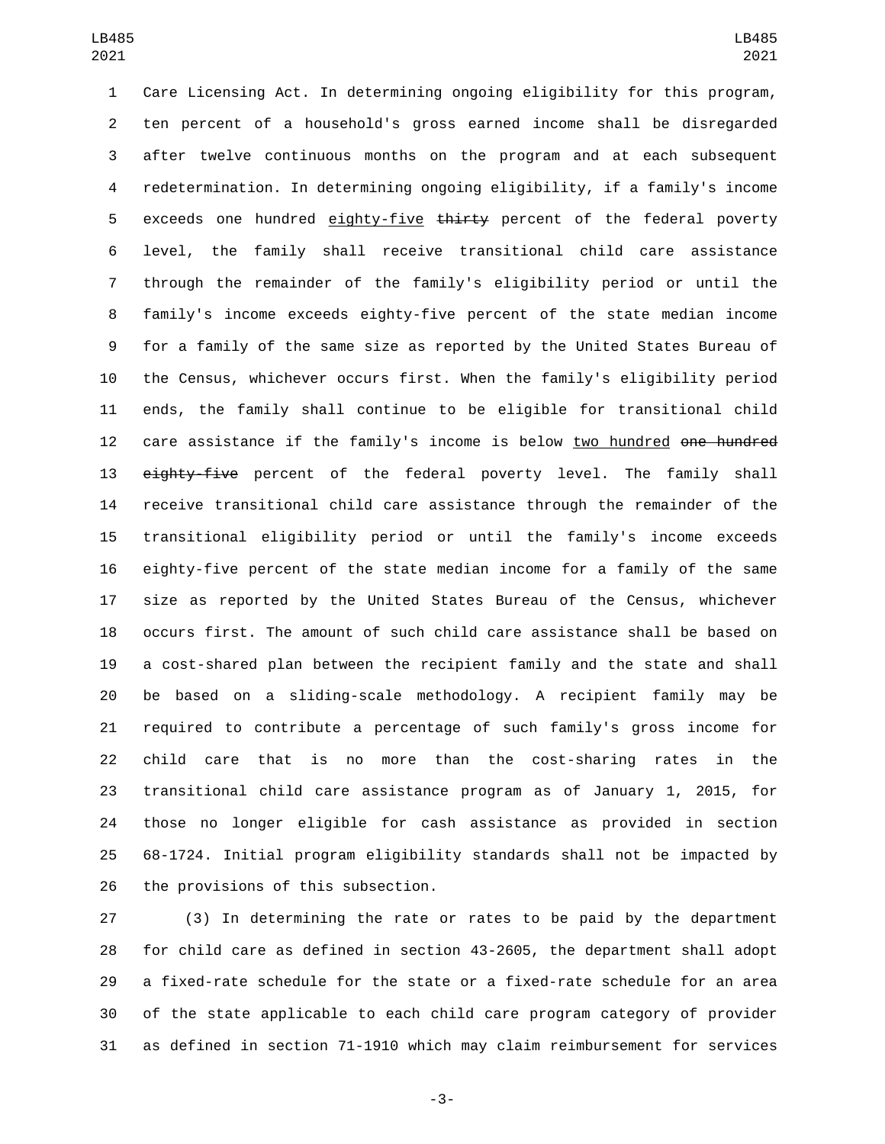Care Licensing Act. In determining ongoing eligibility for this program, ten percent of a household's gross earned income shall be disregarded after twelve continuous months on the program and at each subsequent redetermination. In determining ongoing eligibility, if a family's income 5 exceeds one hundred eighty-five thirty percent of the federal poverty level, the family shall receive transitional child care assistance through the remainder of the family's eligibility period or until the family's income exceeds eighty-five percent of the state median income for a family of the same size as reported by the United States Bureau of the Census, whichever occurs first. When the family's eligibility period ends, the family shall continue to be eligible for transitional child 12 care assistance if the family's income is below two hundred one hundred 13 eighty-five percent of the federal poverty level. The family shall receive transitional child care assistance through the remainder of the transitional eligibility period or until the family's income exceeds eighty-five percent of the state median income for a family of the same size as reported by the United States Bureau of the Census, whichever occurs first. The amount of such child care assistance shall be based on a cost-shared plan between the recipient family and the state and shall be based on a sliding-scale methodology. A recipient family may be required to contribute a percentage of such family's gross income for child care that is no more than the cost-sharing rates in the transitional child care assistance program as of January 1, 2015, for those no longer eligible for cash assistance as provided in section 68-1724. Initial program eligibility standards shall not be impacted by 26 the provisions of this subsection.

 (3) In determining the rate or rates to be paid by the department for child care as defined in section 43-2605, the department shall adopt a fixed-rate schedule for the state or a fixed-rate schedule for an area of the state applicable to each child care program category of provider as defined in section 71-1910 which may claim reimbursement for services

-3-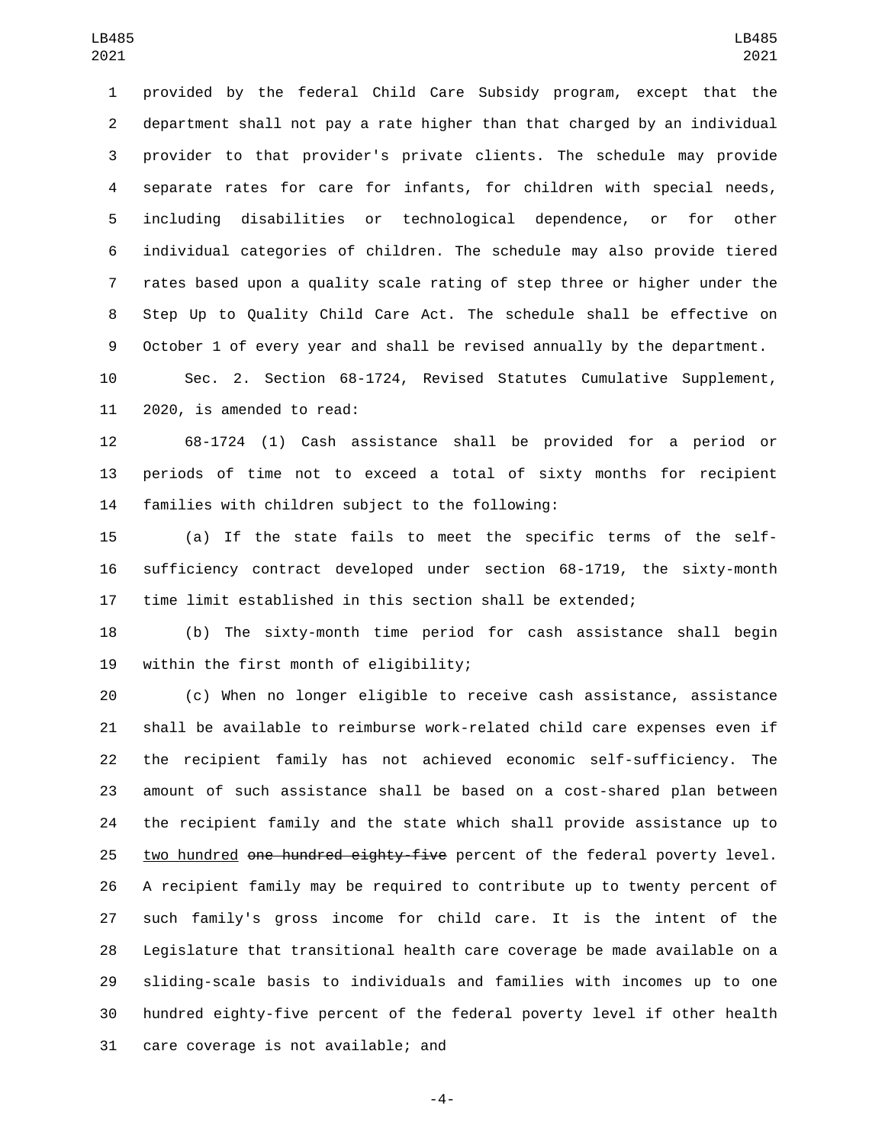provided by the federal Child Care Subsidy program, except that the department shall not pay a rate higher than that charged by an individual provider to that provider's private clients. The schedule may provide separate rates for care for infants, for children with special needs, including disabilities or technological dependence, or for other individual categories of children. The schedule may also provide tiered rates based upon a quality scale rating of step three or higher under the Step Up to Quality Child Care Act. The schedule shall be effective on October 1 of every year and shall be revised annually by the department.

 Sec. 2. Section 68-1724, Revised Statutes Cumulative Supplement, 11 2020, is amended to read:

 68-1724 (1) Cash assistance shall be provided for a period or periods of time not to exceed a total of sixty months for recipient 14 families with children subject to the following:

 (a) If the state fails to meet the specific terms of the self- sufficiency contract developed under section 68-1719, the sixty-month time limit established in this section shall be extended;

 (b) The sixty-month time period for cash assistance shall begin 19 within the first month of eligibility;

 (c) When no longer eligible to receive cash assistance, assistance shall be available to reimburse work-related child care expenses even if the recipient family has not achieved economic self-sufficiency. The amount of such assistance shall be based on a cost-shared plan between the recipient family and the state which shall provide assistance up to 25 two hundred one hundred eighty-five percent of the federal poverty level. A recipient family may be required to contribute up to twenty percent of such family's gross income for child care. It is the intent of the Legislature that transitional health care coverage be made available on a sliding-scale basis to individuals and families with incomes up to one hundred eighty-five percent of the federal poverty level if other health 31 care coverage is not available; and

-4-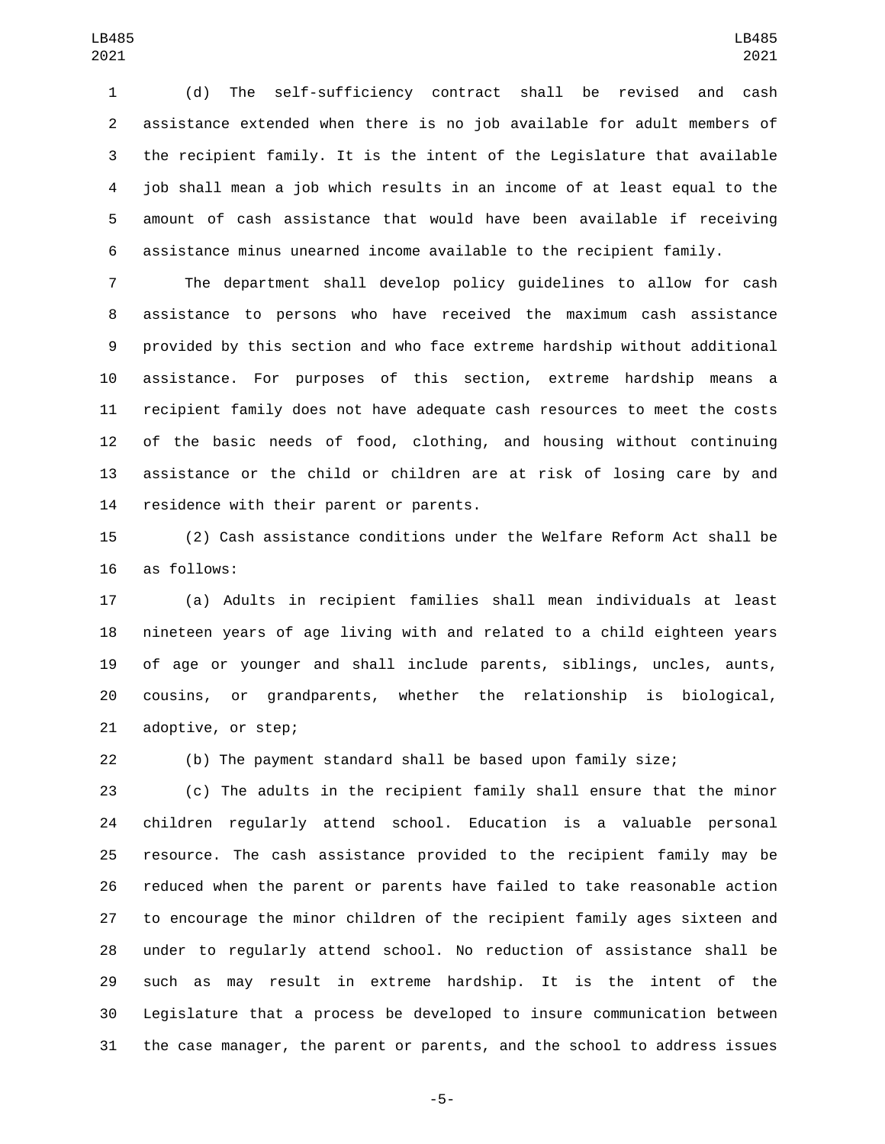(d) The self-sufficiency contract shall be revised and cash assistance extended when there is no job available for adult members of the recipient family. It is the intent of the Legislature that available job shall mean a job which results in an income of at least equal to the amount of cash assistance that would have been available if receiving assistance minus unearned income available to the recipient family.

 The department shall develop policy guidelines to allow for cash assistance to persons who have received the maximum cash assistance provided by this section and who face extreme hardship without additional assistance. For purposes of this section, extreme hardship means a recipient family does not have adequate cash resources to meet the costs of the basic needs of food, clothing, and housing without continuing assistance or the child or children are at risk of losing care by and 14 residence with their parent or parents.

 (2) Cash assistance conditions under the Welfare Reform Act shall be 16 as follows:

 (a) Adults in recipient families shall mean individuals at least nineteen years of age living with and related to a child eighteen years of age or younger and shall include parents, siblings, uncles, aunts, cousins, or grandparents, whether the relationship is biological, 21 adoptive, or step;

(b) The payment standard shall be based upon family size;

 (c) The adults in the recipient family shall ensure that the minor children regularly attend school. Education is a valuable personal resource. The cash assistance provided to the recipient family may be reduced when the parent or parents have failed to take reasonable action to encourage the minor children of the recipient family ages sixteen and under to regularly attend school. No reduction of assistance shall be such as may result in extreme hardship. It is the intent of the Legislature that a process be developed to insure communication between the case manager, the parent or parents, and the school to address issues

-5-